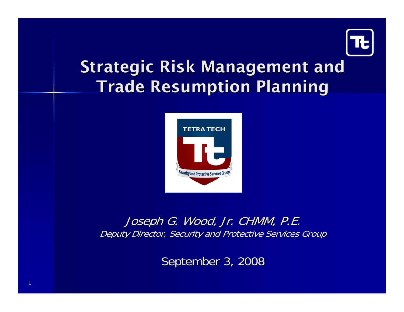

## **Strategic Risk Management and Trade Resumption Planning**



Joseph G. Wood, Jr. CHMM, P.E. Deputy Director, Security and Protective Services Group

September 3, 2008

1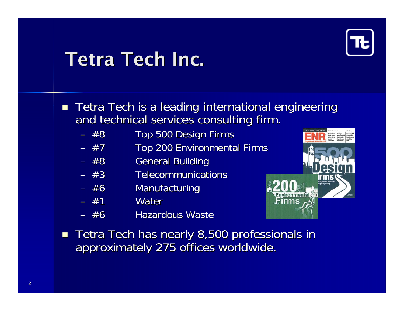

## **Tetra Tech Inc.**

- $\blacksquare$  Tetra Tech is a leading international engineering and technical services consulting firm.
	- –Top 500 Design Firms
	- –Top 200 Environmental Firms
	- –**General Building**
	- $-$  #3  $-$  Telecommunications
	- –**Manufacturing**
	- #1 Water
	- $-$  #6 **Hazardous Waste**



 $\blacksquare$  Tetra Tech has nearly 8,500 professionals in approximately 275 offices worldwide.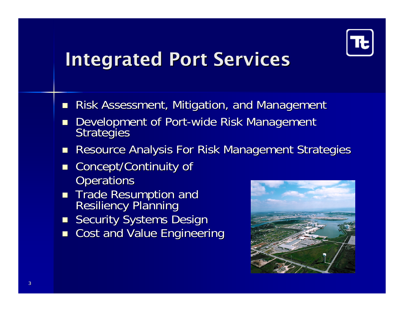

## **Integrated Port Services**

- $\mathcal{L}$ Risk Assessment, Mitigation, and Management
- $\mathbb{R}^2$ Development of Port-wide Risk Management Strategies
- $\mathbb{R}^2$ Resource Analysis For Risk Management Strategies
- $\blacksquare$ Concept/Continuity of **Operations**
- $\mathbb{R}^2$ Trade Resumption and<br>Resiliency Planning
- **Security Systems Design**
- **n** Cost and Value Engineering

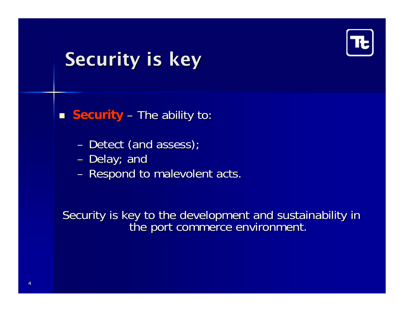

## **Security is key**

**Security** – The ability to:

- $\sim$ – Detect (and assess);
- $\mathcal{L}_{\mathcal{A}}$ – Delay; and
- $\mathcal{L}_{\mathcal{A}}$ – Respond to malevolent acts.

Security is key to the development and sustainability in Security is key to the development and sustainability in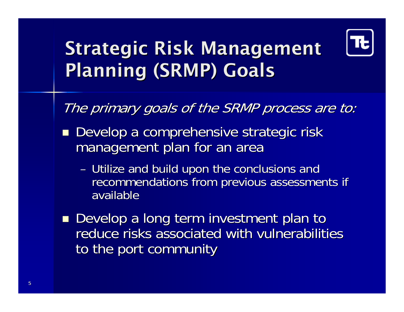

# **Strategic Risk Management** Planning (SRMP) Goals

The primary goals of the SRMP process are to:

- Develop a comprehensive strategic risk management plan for an area
	- $\mathcal{L}_{\mathcal{A}}$ – Utilize and build upon the conclusions and recommendations from previous assessments if available
- **Develop a long term investment plan to** reduce risks associated with vulnerabilities to the port community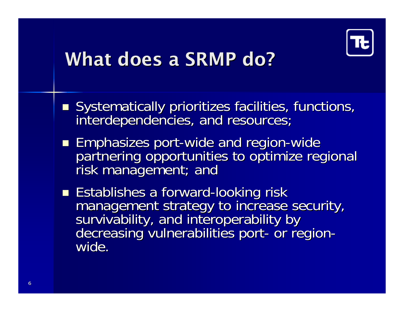

## What does a SRMP do?

- Systematically prioritizes facilities, functions, interdependencies, and resources;
- **Emphasizes port-wide and region-wide** partnering opportunities to optimize regional risk management; and
- Establishes a forward-looking risk management strategy to increase security,<br>survivability, and interoperability by<br>decreasing vulnerabilities port- or region-<br>wide.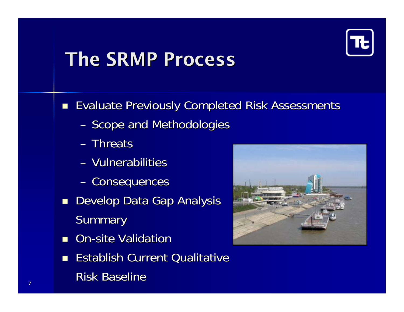

## The SRMP Process

**E** Evaluate Previously Completed Risk Assessments

- $\mathcal{L}_{\mathcal{A}}$ - Scope and Methodologies
- Threats
- Vulnerabilities
- $\mathcal{L}_{\mathcal{A}}$ - Consequences
- **Develop Data Gap Analysis** Summary
- **On-site Validation**
- **Establish Current Qualitative** Risk Baseline

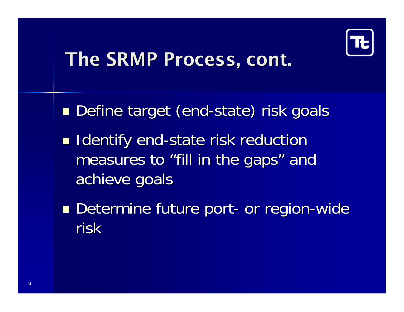

## The SRMP Process, cont.

Define target (end-state) risk goals

- **I** Identify end-state risk reduction measures to "fill in the gaps" and achieve goals achieve goals
- **Determine future port- or region-wide** risk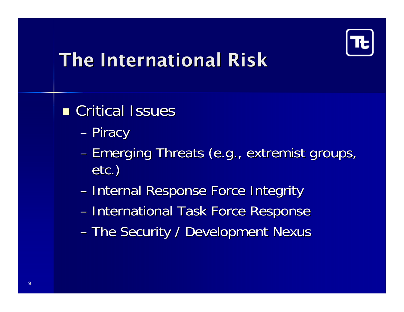

## The International Risk

**n** Critical Issues

- **However, Marketing Committee** – Piracy
- –- Emerging Threats (e.g., extremist groups, etc.)
- **However, Marketing Committee** – Internal Response Force Integrity
- International Task Force Response
- The Security / Development Nexus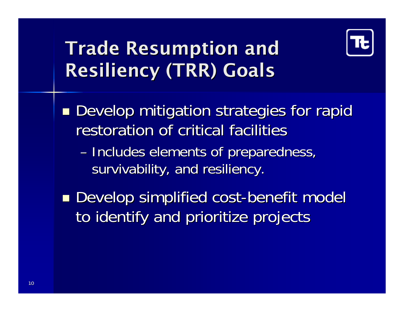

# **Trade Resumption and Resiliency (TRR) Goals**

**Develop mitigation strategies for rapid** restoration of critical facilities

- **However, Marketing Committee** - Includes elements of preparedness, survivability, and resiliency.
- **Develop simplified cost-benefit model** to identify and prioritize projects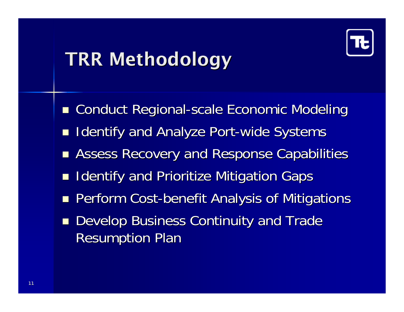

## **TRR Methodology**

- **Example Conduct Regional-scale Economic Modeling**
- $\blacksquare$ Identify and Analyze Port-wide Systems
- **E** Assess Recovery and Response Capabilities
- $\blacksquare$ Identify and Prioritize Mitigation Gaps
- **Perform Cost-benefit Analysis of Mitigations**
- $\blacksquare$ Develop Business Continuity and Trade **Resumption Plan**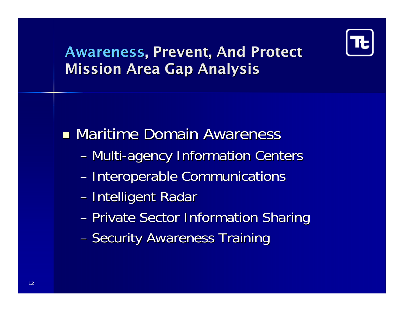

#### Awareness, Prevent, And Protect **Mission Area Gap Analysis**

**• Maritime Domain Awareness** 

- Multi-agency Information Centers
- **However, Marketing Committee** - Interoperable Communications
- **However, Marketing Committee** – Intelligent Radar
- –- Private Sector Information Sharing
- **However, Marketing Committee** – Security Awareness Training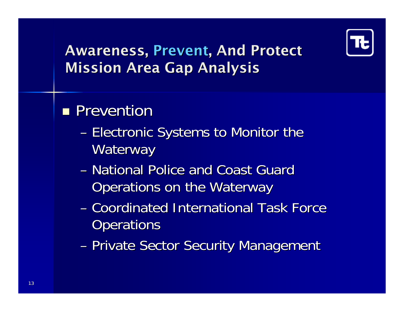

#### Awareness, Prevent, And Protect **Mission Area Gap Analysis**

### **Prevention**

- **However, Marketing Committee** – Electronic Systems to Monitor the Waterway
- National Police and Coast Guard Operations on the Waterway
- Coordinated International Task Force **Operations**
- **However, Marketing Committee** – Private Sector Security Management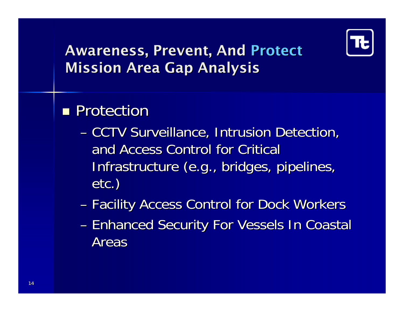

#### Awareness, Prevent, And Protect **Mission Area Gap Analysis**

### **Protection**

- **However, Marketing Committee - CCTV Surveillance, Intrusion Detection,** and Access Control for Critical Infrastructure (e.g., bridges, pipelines, etc.)
- Facility Access Control for Dock Workers
- **However, Marketing Committee** – Enhanced Security For Vessels In Coastal Areas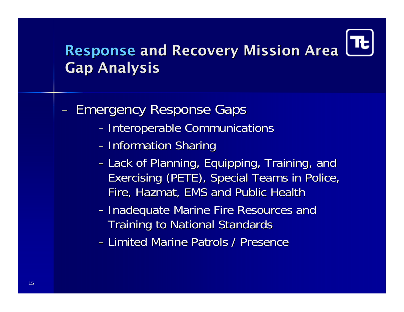#### Response and Recovery Mission Area **Gap Analysis**

- −**Emergency Response Gaps** 
	- Interoperable Communications
	- Information Sharing
	- Lack of Planning, Equipping, Training, and Exercising (PETE), Special Teams in Police, Fire, Hazmat, EMS and Public Health
	- Inadequate Marine Fire Resources and Training to National Standards
	- − Limited Marine Patrols / Presence Limited Marine Patrols / Presence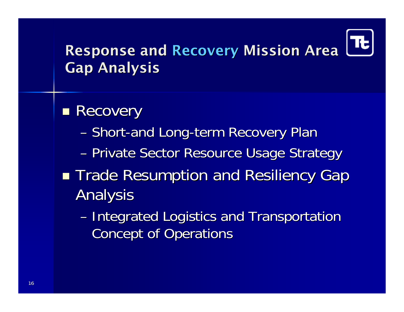

#### **Response and Recovery Mission Area Gap Analysis**

#### **Recovery**

- **However, Marketing Committee** – Short-and Long-term Recovery Plan
- –– Private Sector Resource Usage Strategy
- ■ Trade Resumption and Resiliency Gap **Analysis** 
	- **However, Marketing Committee** – Integrated Logistics and Transportation **Concept of Operations**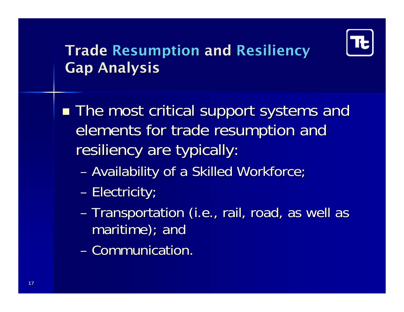

#### **Trade Resumption and Resiliency Gap Analysis**

■ The most critical support systems and elements for trade resumption and resiliency are typically:

- Availability of a Skilled Workforce;
- **However, Marketing Committee** — Electricity;
- **However, Marketing Committee** - Transportation (i.e., rail, road, as well as  $martime$ ; and
- Communication.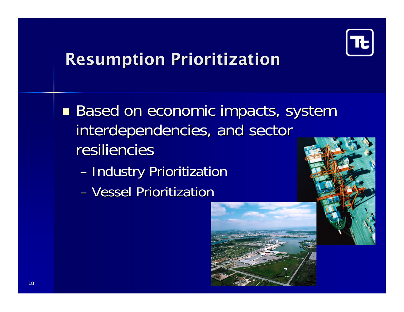

## **Resumption Prioritization**

■ Based on economic impacts, system interdependencies, and sector resiliencies – Industry Prioritization – Vessel Prioritization

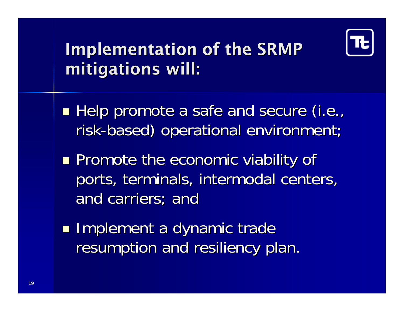

## Implementation of the SRMP mitigations will:

- Help promote a safe and secure (i.e., risk-based) operational environment;
- **Promote the economic viability of** ports, terminals, intermodal centers, and carriers; and
- **Implement a dynamic trade** resumption and resiliency plan.